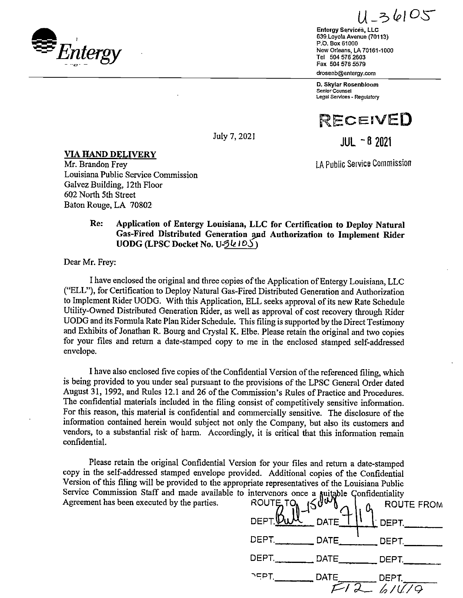$Q = 639$ <br>
Entergy Services, LLC<br>
639,Loyola Avenue (70113)<br>
P.O. Box 61000  $r_{\rm 1D. Box\,61000}^{9.0. Box\,61000}_{\rm New\, Orleans,\,LA\,70161-1000}$ <br>New Orleans, LA 70161-1000<br>Fax 504 576 2603 ֚֬

 $-36105$ 

Entergy Services, LLC<br>639 Loyola Avenue (70113) Tel 504 576 2603 \_ Fax 504 576 5579 drosenb@entergy.com

D. Skylar Rosenbloom Senlor Counsel Legal Services - Regulatory



July 7, 2021  $\blacksquare$ 

 $JUL - 8$  2021

1. The second contract of the second contract of the second contract of the second contract of the second contract of the second contract of the second contract of the second contract of the second contract of the second c

# **VIA HAND DELIVERY**<br>Mr. Brandon Frey

Louisiana Public Service Commission Galvez Building, 12th Floor 602 North 5th Street Baton Rouge, LA 70802

### Re: Application of Entergy Louisiana, LLC for Certification to Deploy Natural Gas-Fired Distributed Generation and Authorization to Implement Rider UODG (LPSC Docket No. U-3 $k105$ )

Dear Mr. Frey:

I have enclosed the original and three copies of the Application of Entergy Louisiana, LLC ("ELL"), for Certification to Deploy Natural Gas-Fired Distributed Generation and Authorization to Implement Rider UODG. With this Application, ELL seeks approval of its new Rate Schedule Utility-Owned Distributed Generation Rider, as \vell as approval of cost recovery through Rider UODG and its Formula Rate Plan Rider Schedule. This filing is supported by the Direct Testimony and Exhibits of Jonathan R. Bourg and Crystal K. Elbe. Please retain the original and two copies for your files and return a date-stamped copy to me in the enclosed stamped self-addressed envelope.

I have also enclosed five copies of the Confidential Version of the referenced filing, which is being provided to you under seal pursuant to the provisions of the LPSC General Order dated August 31, 1992, and Rules 12.1 and 26 of the Commission's Rules of Practice and Procedures. The confidential materials included in the filing consist of competitively sensitive information. For this reason, this material is confidential and commercially sensitive. The disclosure of the information contained herein would subject not only the Company, but also its customers and vendors, to a substantial risk of harm. Accordingly, it is critical that this information remain confidential.

Please retain the original Confidential Version for your files and return a date-stamped copy in the self-addressed stamped envelope provided. Additional copies of the Confidential Version of this filing will be provided to the appropriate representatives of the Louisiana Public Service Commission Staff and made available to intervenors once a suitable Confidentiality Agreement has been executed by the parties.

|            | ROUTE TO 150 ATE 1 9 ROUT                        | Q <sub>1</sub> ROUTE FROM    |
|------------|--------------------------------------------------|------------------------------|
|            |                                                  | $\perp$ DEPT.                |
|            |                                                  | DEPT.                        |
|            | DEPT. _____________ DATE__________ DEPT. _______ |                              |
| $\sqrt{P}$ | DATE <sub>.</sub>                                | DEPT.<br>$\frac{1}{2}$ ////9 |
|            |                                                  |                              |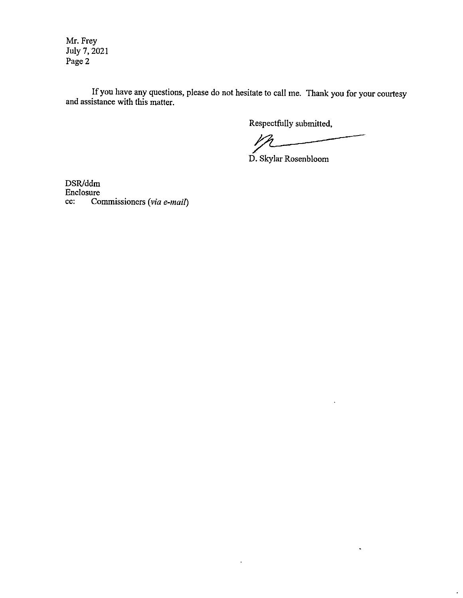Mr. Frey July 7, 2021 Page 2

If you have any questions, please do not hesitate to call me. Thank you for your courtesy and assistance with this matter.

 $\ddot{\phantom{0}}$ 

Respectfully submitted,

Respectfully submitted,

 $\ddot{\phantom{1}}$ 

 $\overline{\phantom{a}}$ 

D. Skylar Rosenbloom

DSR/ddm Enclosure cc: Commissioners (via e-mail)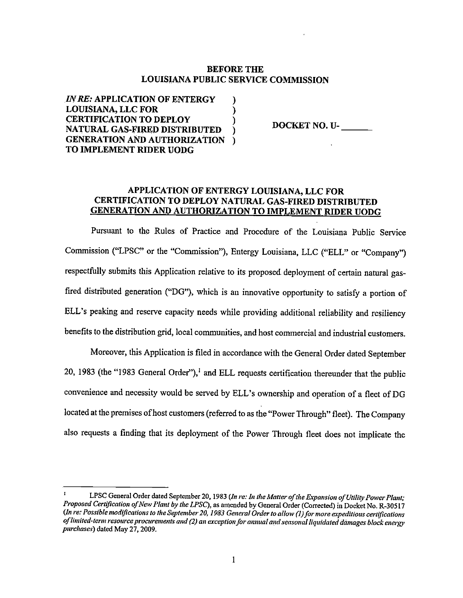### BEFORE THE LOUISIANA PUBLIC SERVICE COMMISSION

IN RE: APPLICATION OF ENTERGY ) LOUISIANA, LLC FOR ) CERTIFICATION TO DEPLOY NATURAL GAS-FIRED DISTRIBUTED ) GENERATION AND AUTHORIZATION ) TO IMPLEMENT RIDER UODG

DOCKET NO. U-

### APPLICATION OF ENTERGY LOUISIANA, LLC FOR CERTIFICATION TO DEPLOY NATURAL GAS-FIRED DISTRIBUTED GENERATION AND AUTHORIZATION TO IMPLEMENT RIDER UODG

Pursuant to the Rules of Practice and Procedure of the Louisiana Public Service Commission ("LPSC" or the "Commission"), Entergy Louisiana, LLC ("ELL" or "Company") respectfully submits this Application relative to its proposed. deployment of certain natural gas fired distributed generation ("DG"), which is an innovative opportunity to satisfy a portion of ELL's peaking and reserve capacity needs while providing additional reliability and resiliency benefits to the distribution grid, local communities, and host commercial and industrial customers.

Moreover, this Application is filed in accordance with the General Order dated September 20, 1983 (the "1983 General Order"),<sup>1</sup> and ELL requests certification thereunder that the public convenience and necessity would be served by ELL's ownership and operation of a fleet of DG located at the premises of host customers (referred to as the "Power Through" fleet). The Company also requests a finding that its deployment of the Power Through fleet does not implicate the

LPSC General Order dated September 20, 1983 (In re: In the Matter of the Expansion of Utility Power Plant; Proposed Certification of New Plant by the LPSC), as amended by General Order (Corrected) in Docket No. R-30517 (In re: Possible modifications to the September 20, 1983 General Order to allow (1) for more expeditious certifications of limited-term resource procurements and (2) an exception for annual and seasonal liquidated damages block energy purchases) dated May 27, 2009.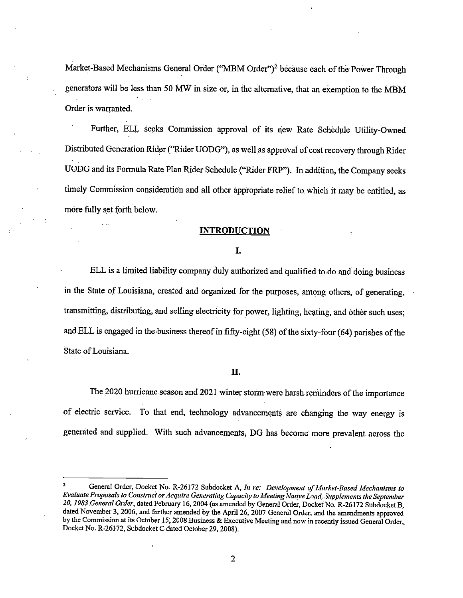Market-Based Mechanisms General Order ("MBM Order")<sup>2</sup> because each of the Power Through generators will be less than 50 MW in size or, in the alternative, that an exemption to the MBM Order is warranted. µ

Further, ELL seeks Commission approval of its new Rate Schedule Utility-Owned Distributed Generation Rider ("Rider UODG"), as well as approval of cost recovery through Rider UODG and its Formula Rate Plan Rider Schedule ("Rider FRP"). In addition, the Company seeks timely Commission consideration and all other appropriate relief to, which it may be entitled, as more fully set forth below.

#### INTRODUCTION

#### I.

ELL is a limited liability company duly authorized and qualified to do and doing business in the State of Louisiana, created and organized for the purposes, among others, of generating, transmitting, distributing, and selling electricity for power, lighting, heating, and other such uses; and ELL is engaged in the business thereof in fifty-eight  $(58)$  of the sixty-four  $(64)$  parishes of the State ofLouisiana.

### I].

The 2020 hurricane season and 2021 winter storm were harsh reminders of the importance of electric service. To that end, technology advancements are changing the way energy is generated and supplied. With such advancements, DG has become more prevalent across the

<sup>&</sup>lt;sup>2</sup> General Order, Docket No. R-26172 Subdocket A, In re: Development of Market-Based Mechanisms to Evaluate Proposals to Construct or Acquire Generating Capacity to Meeting Native Load, Supplements the September 20, 1983 General Order, dated February 16, 2004 (as amended by General Order, Docket No. R-26172 Subdocket B, dated November 3, 2006, and further amended by the April 26, <sup>2007</sup> General Order, and the amendments approved by the Commission at its October 15, <sup>2008</sup> Business & Executive Meeting and now in recently issued General Order, Docket No. R-26172, Subdocket C dated October 29, 2008).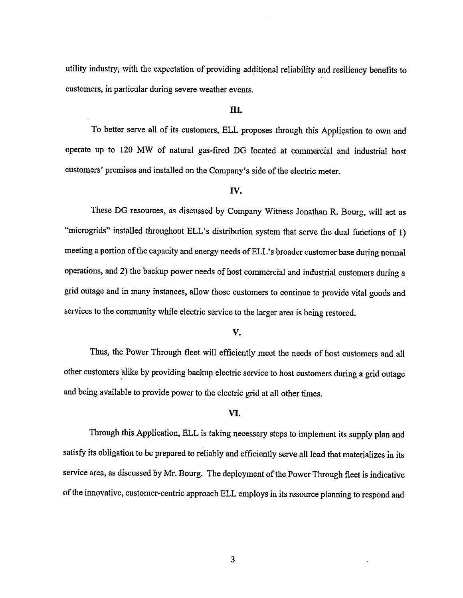utility industry, with the expectation of providing additional reliability and resiliency benefits to customers, in particular during severe weather events.

### III.

µ

To better serve all of its customers, ELL proposes through this Application to own and operate up to 120 MW of natural gas-fired DG located at commercial and industrial host customers' premises and installed on the Company's side of the electric meter.

### IV.

These DG resources, as discussed by Company Witness Jonathan R. Bourg, will act as "microgrids" installed throughout ELL's distribution system that serve the dual functions of 1) meeting a portion of the capacity and energy needs of ELL's broader customer base during normal operations, and 2) the backup power needs of host commercial and industrial customers during <sup>a</sup> grid outage and in many instances, allow those customers to continue to provide vital goods and services to the community while electric service to the larger area is being restored.

### V.

Thus, the Power Through fleet will efficiently meet the needs of host customers and all other customers alike by providing backup electric service to host customers during a grid outage and being available to provide power to the electric grid at all other times.

### VI.

Through this Application, ELL is taking necessary steps to implement its supply plan and satisfy its obligation to be prepared to reliably and efficiently serve all load that materializes in its service area, as discussed by Mr. Bourg. The deployment of the Power Through fleet is indicative ofthe innovative, customer-centric approach ELL employs in its resource planning to respond and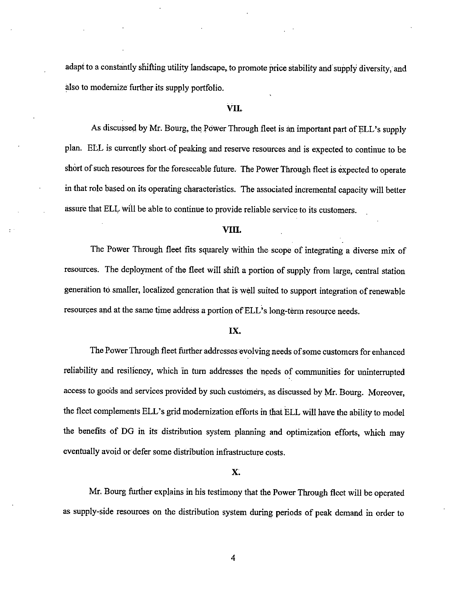adapt to a constantly shifting utility landscape, to promote price stability and supply diversity, and also to modernize further its supply portfolio.

### VII.

As discussed by Mr. Bourg, the Power Through fleet is an important part of ELL's supply plan. ELL is currently short of peaking and reserve resources and is expected to continue to be short of such resources for the foreseeable future. The Power Through fleet is expected to operate in that role based on its operating characteristics. The associated incremental capacity will better assure that ELL will be able to continue to provide reliable service to its customers.

### VIII.

The Power Through fleet fits squarely within the scope of integrating a diverse mix of resources. The deployment of the fleet will shift a portion of supply from large, central station generation to.smaller, localized generation that is well suited to support integration ofrenewable resources and at the same time address a portion of ELL's long-term resource needs.

#### IX.

The Power Through fleet further addresses evolving needs of some customers for enhanced reliability and resiliency, which in turn addresses the needs of communities for uninterrupted access to goods and services provided by such customers, as discussed by Mr. Bourg. Moreover, the fleet complements ELL's grid modernization efforts in that ELL will have the ability to model the benefits of DG in its distribution system planning and optimization efforts, which may eventually avoid or defer some distribution infrastructure costs.

#### X;

Mr. Bourg further explains in his testimony that the Power Through fleet will be operated as supply-side resources on the distribution system during periods of peak demand in order to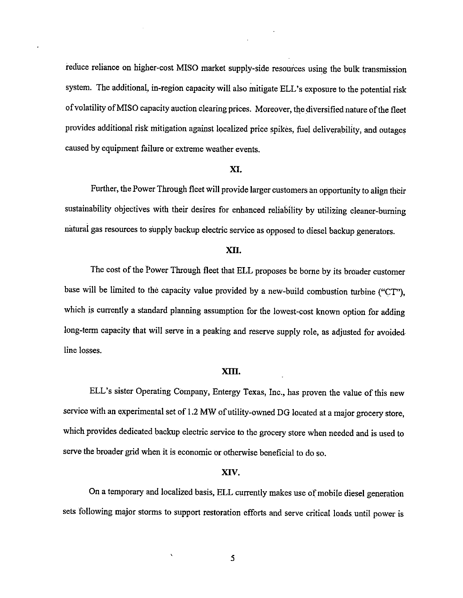reduce reliance on higher-cost MISO market supply-side resources using the bulk transmission system. The additional, in-region capacity will also mitigate ELL's exposure to the potential risk of volatility of MISO capacity auction clearing prices. Moreover, the diversified nature of the fleet provides additional risk mitigation against localized price spikes, fuel deliverability, and outages caused by equipment failure or extreme weather events.

#### XI.

Further, the Power Through fleet will provide larger customers an opportunity to align their sustainability objectives with their desires for enhanced reliability by utilizing cleaner-buming natural gas resources to supply backup electric service as opposed to diesel backup generators.

### XII.

The cost of the Power Through fleet that ELL proposes be borne by its broader customer base will be limited to the capacity value provided by a new-build combustion turbine ("CT"), which is currently a standard planning assumption for the lowest-cost known option for adding long-tenn capacity that will serve in <sup>a</sup> peaking and reserve supply role, as adjusted for avoided line losses.

### XIII.

ELL's sister Operating Company, Entergy Texas, Inc., has proven the value of this new service with an experimental set of 1.2 MW of utility-owned DG located at a major grocery store, which provides dedicated backup electric service to the grocery store when needed and is used to serve the broader grid when it is economic or otherwise beneficial to do so.

#### XIV.

On a temporary and localized basis, ELL currently makes use of mobile diesel generation sets following major storms to support restoration efforts and serve critical loads until power is

 $\bar{\mathbf{v}}$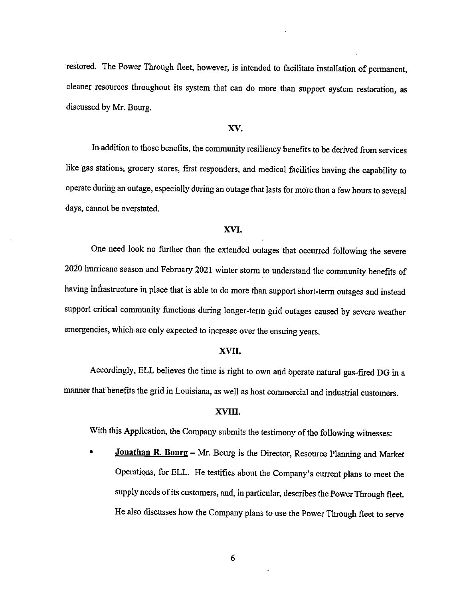restored. The Power Through fleet, however, is intended to facilitate installation of permanent, cleaner resources throughout its system that can do more than support system restoration, as discussed by Mr. Bourg.

#### XV.

In addition to those benefits, the community resiliency benefits to be derived from services like gas stations, grocery stores, first responders, and medical facilities having the capability to operate during an outage, especially during an outage that lasts for more than a few hours to several days, cannot be overstated.

### XVI.

One need look no further than the extended outages that occurred following the severe 2020 hurricane season and February 2021 winter storm to understand the community benefits of having infrastructure in place that is able to do more than support short-term outages and instead support critical community functions during longer-term grid outages caused by severe weather emergencies, which are only expected to increase over the ensuing years.

### XVII.

Accordingly, ELL believes the time is right to own and operate natural gas-fired DG in a manner that benefits the grid in Louisiana, as well as host commercial and industrial customers.

### XVHI.

With this Application, the Company submits the testimony of the following witnesses:

• Jonathan R. Bourg – Mr. Bourg is the Director, Resource Planning and Market Operations, for ELL. He testifies about the Company's current plans to meet the supply needs of its customers, and, in particular, describes the Power Through fleet. He also discusses how the Company plans to use the Power Through fleet to serve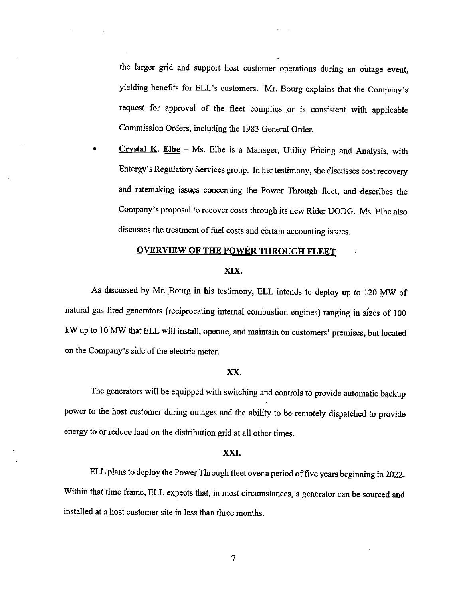the larger grid and support host customer operations during an outage event, yielding benefits for ELL's customers. Mr. Bourg explains that the Company's request for approval of the fleet complies or is consistent with applicable Commission Orders, including the 1983 General Order.

**Crystal K. Elbe** - Ms. Elbe is a Manager, Utility Pricing and Analysis, with Entergy's Regulatory Services group. In her testimony, she discusses cost recovery and ratemaking issues concerning the Power Through fleet, and describes the Company's proposal to recover costs through its new Rider UODG. Ms. Elbe also discusses the treatment of fuel costs and certain accounting issues.

### **OVERVIEW OF THE POWER THROUGH FLEET**

### XIX.

As discussed by Mr. Bourg in his testimony, ELL intends to deploy up to <sup>120</sup> MW of natural gas-fired generators (reciprocating internal combustion engines) ranging in sizes of 100 kW up to 10 MW that ELL will install, operate, and maintain on customers' premises, but located on the Company's side of the electric meter.

#### XX.

The generators will be equipped with switching and controls to provide automatic backup power to the host customer during outages and the ability to be remotely dispatched to provide energy to or reduce load on the distribution grid at all other times.

### XXI.

ELL plans to deploy the Power Through fleet over a period of five years beginning in 2022. Within that time frame, ELL expects that, in most circumstances, a generator can be sourced and installed at a host customer site in less than three months.

 $\overline{7}$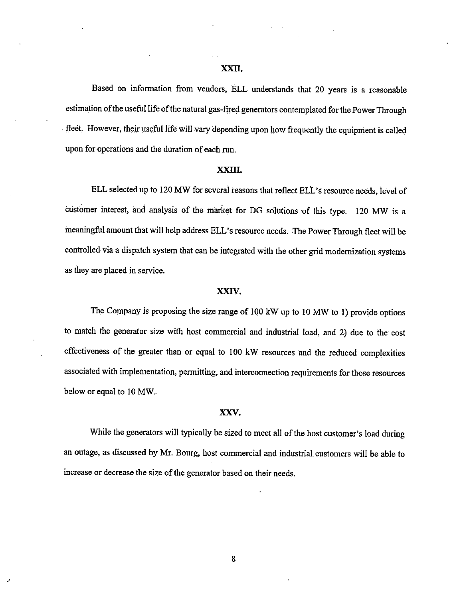### XXII.

Based on information from vendors, ELL understands that 20 years is <sup>a</sup> reasonable estimation of the useful life of the natural gas-fired generators contemplated for the Power Through . fleet, However, their useful life will vary depending upon how frequently the equipment is called upon for operations and the duration of each run.

#### XXIII.

ELL selected up to 120 MW for several reasons that reflect ELL's resource needs, level of customer interest, and analysis of the market for DG solutions of this type. <sup>120</sup> MW is <sup>a</sup> meaningful amount that will help address ELL's resource needs. The Power Through fleet will be controlled via <sup>a</sup> dispatch system that can be integrated with the other grid modernization systems as they are placed in service.

#### XXIV.

The Company is proposing the size range of <sup>100</sup> kW up to <sup>10</sup> MW to 1) provide options to match the generator size with host commercial and industrial load, and 2) due to the cost effectiveness of the greater than or equal to <sup>100</sup> kW resources and the reduced complexities associated with implementation, permitting, and interconnection requirements for those resources below or equal to 10 MW.

#### XXV.

While the generators will typically be sized to meet all of the host customer's load during an outage, as discussed by Mr. Bourg, host commercial and industrial customers will be able to increase or decrease the size of the generator based on their needs.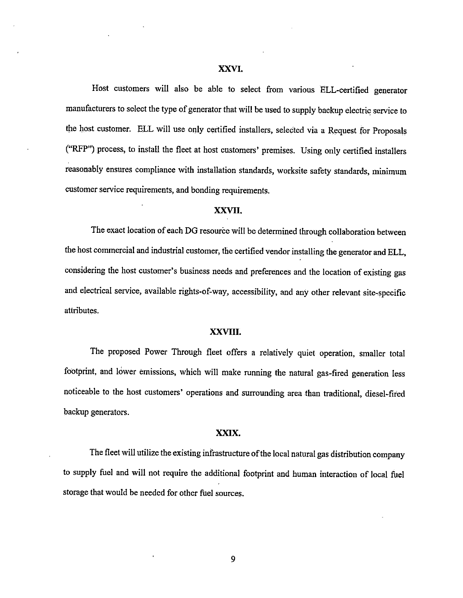### XXVI.

Host customers will also be able to select from various ELL-certified generator manufacturers to select the type of generator that will be used to supply backup electric service to the host customer. ELL will use only certified installers, selected via a Request for Proposals ("RFP") process, to install the fleet at host customers' premises. Using only certified installers reasonably ensures compliance with installation standards, worksite safety standards, minimum customer service requirements, and bonding requirements.

### XXVII.

The exact location of each DG resource will be determined through collaboration between the host commercial and industrial customer, the certified vendor installing the generator and ELL, considering the host customer's business needs and preferences and the location of existing gas and electrical service, available rights-of-way, accessibility, and any other relevant site-specific attributes.

### XXVIII.

The proposed Power Through fleet offers a relatively quiet operation, smaller total footprint, and lower emissions, which will make running the natural gas-fired generation less noticeable to the host customers' operations and surrounding area than traditional, diesel-fired backup generators.

### XXIX.

The fleet will utilize the existing infrastructure of the local natural gas distribution company to supply fuel and will not require the additional footprint and human interaction of local fuel storage that would be needed for other fuel sources.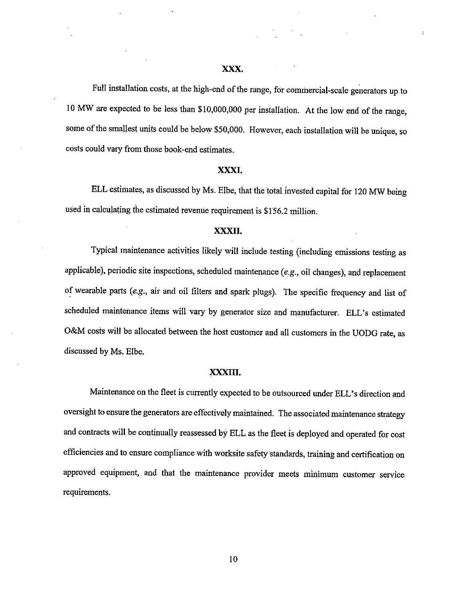Full installation costs, at the high-end of the range, for commercial-scale generators up to <sup>10</sup> MW are expected to be less than \$10,000,000 per installation. At the low end of the range, some of the smallest units could be below \$50,000. However, each installation will be unique, so costs could vary from those book-end estimates.

### XXXI.

ELL estimates, as discussed by Ms. Elbe, that the total invested capital for <sup>120</sup> MW being used in calculating the estimated revenue requirement is \$156.2 million.

### XXXII.

Typical maintenance activities likely will include testing (including emissions testing as applicable), periodic site inspections, scheduled maintenance (e.g., oil changes), and replacement of wearable parts (e.g., air and oil filters and spark plugs). The specific frequency and list of scheduled maintenance items will vary by generator size and manufacturer. ELL's estimated O&M costs will be allocated between the host customer and all customers in the UODG rate, as discussed by Ms. Elbe.

#### XXXIII.

Maintenance on the fleet is currently expected to be outsourced under ELL's direction and oversight to ensure the generators are effectively maintained. The associated maintenance strategy and contracts will be continually reassessed by ELL as the fleet is deployed and operated for cost efficiencies and to ensure compliance with worksite safety standards, training and certification on approved equipment, and that the maintenance provider meets minimum customer service requirements.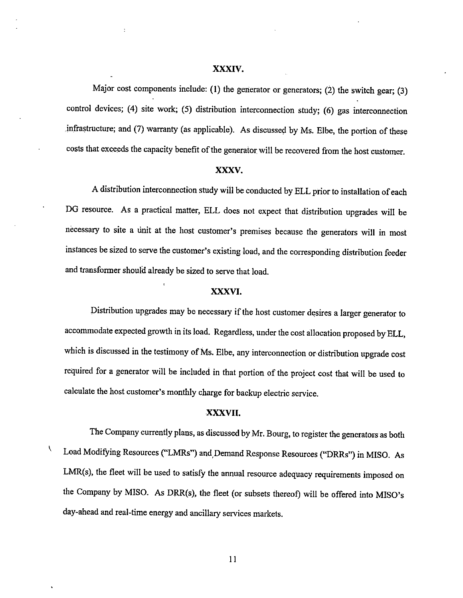#### XXXIV.

Major cost components include: (1) the generator or generators; (2) the switch gear; (3) control devices; (4) site work; (5) distribution interconnection study; (6) gas interconnection infrastructure; and (7) warranty (as applicable). As discussed by Ms. Elbe, the portion of these costs that exceeds the capacity benefit of the generator will be recovered from the host customer.

### XXXV.

<sup>A</sup> distribution interconnection study will be conducted by ELL prior to installation of each DG resource. As <sup>a</sup> practical matter, ELL does not expect that distribution upgrades will be necessary to site a unit at the host customer's premises because the generators will in most instances be sized to serve the customer's existing load, and the corresponding distribution feeder and transformer should already be sized to serve that load.

### XXXVI.

Distribution upgrades may be necessary if the host customer desires a larger generator to accommodate expected growth in its load. Regardless, under the cost allocation proposed by ELL, which is discussed in the testimony of Ms. Elbe, any interconnection or distribution upgrade cost required for <sup>a</sup> generator will be included in that portion of the project cost that will be used to calculate the host customer's monthly charge for backup electric service.

### XXXVII.

X

The Company currently plans, as discussed by Mr. Bourg, to register the generators as both Load Modifying Resources ("LMRs") and Demand Response Resources ("DRRs") in MISO. As LMR(s), the fleet will be used to satisfy the annual resource adequacy requirements imposed on the Company by MISO. As DRR(s), the fleet (or subsets thereof) will be offered into MISO's day-ahead and real-time energy and ancillary services markets.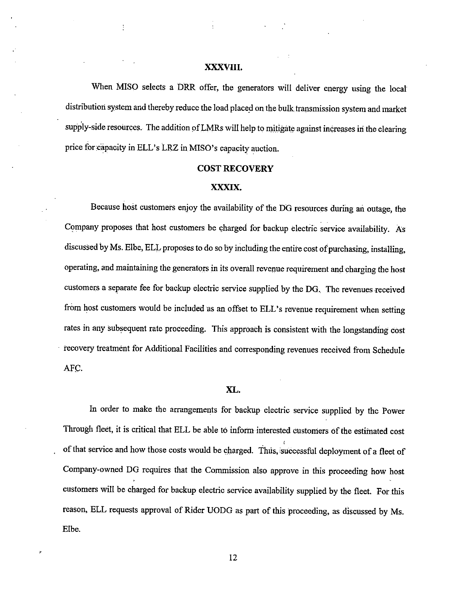### XXXVIII.

ł

When MISO selects a DRR offer, the generators will deliver energy using the local distribution system and thereby reduce the load placed on the bulk transmission system and market supply-side resources. The addition ofLMRs will help to mitigate against increases in the clearing price for capacity in ELL's LRZ in MISO's capacity auction.

#### COST RECOVERY

### XXXIX.

Because host customers enjoy the availability of the DG resources during an outage, the Company proposes that host customers be charged for backup electric service availability. As discussed by Ms. Elbe, ELL proposes to do so by including the entire cost of purchasing, installing, operating, and maintaining the generators in its overall revenue requirement and charging the host customers a separate fee for backup electric service supplied by the DG, The revenues received from host customers would be included as an offset to ELL's revenue requirement when setting rates in any subsequent rate proceeding. This approach is consistent with the longstanding cost > recovery treatment for Additional Facilities and corresponding revenues received from Schedule AFC.

#### XL.

In order to make the arrangements for backup electric service supplied by the Power Through fleet, it is critical that ELL be able to inform interested customers of the estimated cost of that service and how those costs would be charged. Thus, successful deployment of a fleet of Company-owned DG requires that the Commission also approve in this proceeding how host customers will be charged for backup electric service availability supplied by the fleet. For this reason, ELL requests approval of Rider UODG as part of this proceeding, as discussed by Ms. Elbe.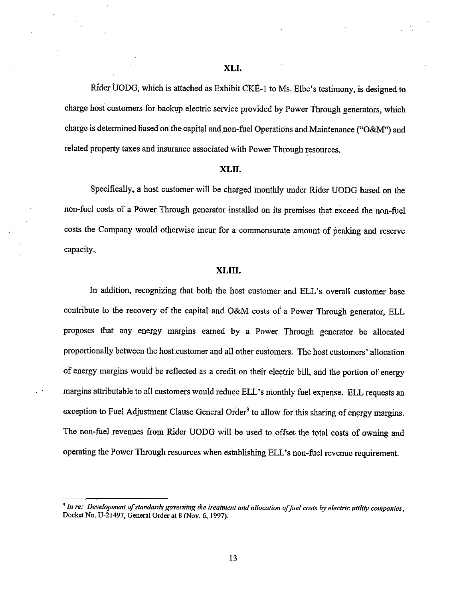Rider UODG, which is attached as Exhibit CKE-1 to Ms. Elbe's testimony, is designed to charge host customers for backup electric service provided by Power Through generators, which charge is determined based on the capital and non-fuel Operations and Maintenance ("O&M") and related property taxes and insurance associated with Power Through resources.

#### XLII.

Specifically, a host customer will be charged monthly under Rider UODG based on the non-fuel costs of a Power Through generator installed on its premises that exceed the non-fuel costs the Company would otherwise incur for <sup>a</sup> commensurate amount of peaking and reserve capacity.\_

### XLIII.

In addition, recognizing that both the host customer and ELL's overall customer base contribute to the recovery of the capital and O&M costs of a Power Through generator, ELL proposes that any energy margins earned by <sup>a</sup> Power Through generator be allocated proportionally between the host customer and all other customers. The host customers' allocation of energy margins would be reflected as a credit on their electric bill, and the portion of energy margins attributable to all customers would reduce ELL's monthly fuel expense. ELL requests an exception to Fuel Adjustment Clause General Order<sup>3</sup> to allow for this sharing of energy margins. The non-fuel revenues from Rider UODG will be used to offset the total costs of owning and operating the Power Through resources when establishing ELL's non-fuel revenue requirement.

 $^3$  In re: Development of standards governing the treatment and allocation of fuel costs by electric utility companies, Docket No. U-21497, General Order at <sup>8</sup> (Nov. 6, 1997).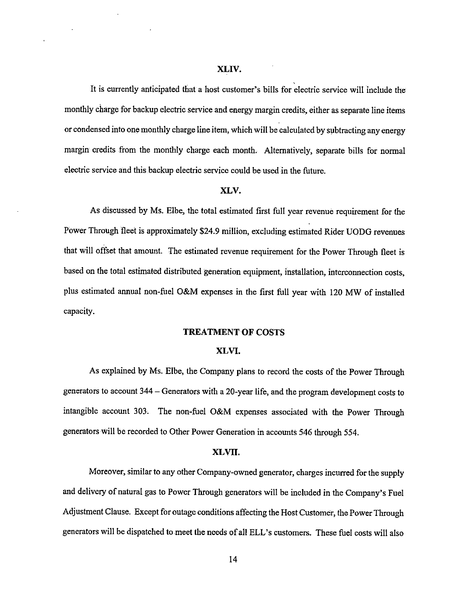It is currently anticipated that a host customer's bills for electric service will include the monthly charge for backup electric service and energy margin credits, either as separate line items or condensed into one monthly charge line item, which will be calculated by subtracting any energy margin credits from the monthly charge each month. Alternatively, separate bills for normal electric service and this backup electric service could be used in the future.

#### XLV.

As discussed by Ms. Elbe, the total estimated first full year revenue requirement for the Power Through fleet is approximately \$24.9 million, excluding estimated Rider UODG revenues that will offset that amount. The estimated revenue requirement for the Power Through fleet is based on the total estimated distributed generation equipment, installation, interconnection costs, plus estimated annual non-fuel O&M expenses in the first full year with <sup>120</sup> MW of installed capacity.

### TREATMENT OF COSTS

### XLVI.

As explained by Ms. Elbe, the Company plans to record the costs of the Power Through generators to account 344 – Generators with a 20-year life, and the program development costs to intangible account 303. The non-fuel O&M expenses associated with the Power Through generators-will be recorded to Other Power Generation in accounts 546 through 554.

#### XLVII.

Moreover, similar to any other Company-owned generator, charges incurred for the supply and delivery of natural gas to Power Through generators will be included in the Company's Fuel Adjustment Clause. Except for outage conditions affecting the Host Customer, the Power Through generators will be dispatched to meet the needs of all ELL's customers. These fuel costs will also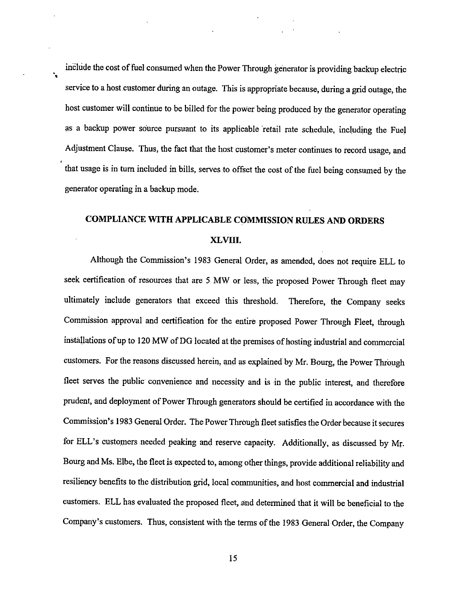include the cost of fuel consumed when the Power Through generator is providing backup electric service to <sup>a</sup> host customer during an outage. This is appropriate because, during a grid outage, the host customer will continue to be billed for the power being produced by the generator operating as a backup power source pursuant to its applicable 'retail rate schedule, including the Fuel Adjustment Clause. Thus, the fact that the host customer's meter continues to record usage, and that usage is in turn included in bills, serves to offset the cost of the fuel being consumed by the generator operating in a backup mode.

 $\mathbf{v}_\mathbf{z}$ 

## COMPLIANCE WITH APPLICABLE COMMISSION RULES. AND ORDERS XLVIII.

Although the Commission's 1983 General Order, as amended, does not require ELL to seek certification of resources that are 5 MW or less, the proposed Power Through fleet may ultimately include generators that exceed this threshold. Therefore, the Company seeks Commission approval and certification for the entire proposed Power Through Fleet, through installations of up to 120 MW of DG located at the premises of hosting industrial and commercial customers. For the reasons discussed herein, and as explained by Mr. Bourg, the Power Through fleet serves the public convenience and necessity and is in the public interest, and therefore prudent, and deployment of Power Through generators should be certified in accordance with the Commission's 1983 General Order. The Power Through fleet satisfies the Order because it secures for ELL's customers needed peaking and reserve capacity. Additionally, as discussed by Mr. Bourg and Ms. Elbe, the fleet is expected to, among other things, provide additional reliability and resiliency benefits to the distribution grid, local communities, and host commercial and industrial customers. ELL has evaluated the proposed fleet, and determined that it will be beneficial to the Company's customers. Thus, consistent with the terms of the 1983 General Order, the Company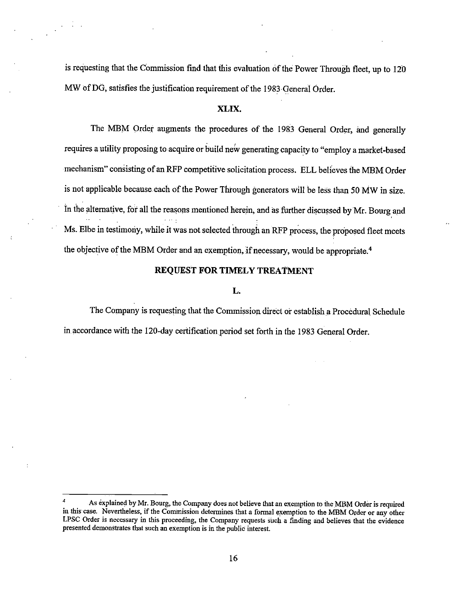is requesting that the Commission find that this evaluation of the Power Through fleet, up to 120 MW of DG, satisfies the justification requirement of the 1983-General Order.

 $\cdot$ 

### XLIX.

The MBM Order augments the procedures of the <sup>1983</sup> General Order, and generally requires a utility proposing to acquire or build new generating capacity to "employ a market-based mechanism" consisting of an RFP competitive solicitation process. ELL believes the MBM Order is not applicable because each of the Power Through generators will be less than 50 MW in size. In the alternative, for all the reasons mentioned herein, and as further discussed by Mr. Bourg and Ms. Elbe in testimony, while it was not selected through an RFP process, the proposed fleet meets the objective of the MBM Order and an exemption, if necessary, would be appropriate.<sup>4</sup>

### REQUEST FOR TIMELY TREATMENT

### L.

The Company is requesting that the Commission direct or establish a Procedural Schedule in accordance with the 120-day certification period set forth in the 1983 General Order.

As explained by Mr. Bourg, the Company does not believe that an exemption to the MBM Order is required in this case. Nevertheless, if the Commission determines that <sup>a</sup> formal exemption to the MBM Order or any other LPSC Order is necessary in this proceeding, the Company requests such a finding and believes that the evidence presented demonstrates that such an exemption is in the public interest.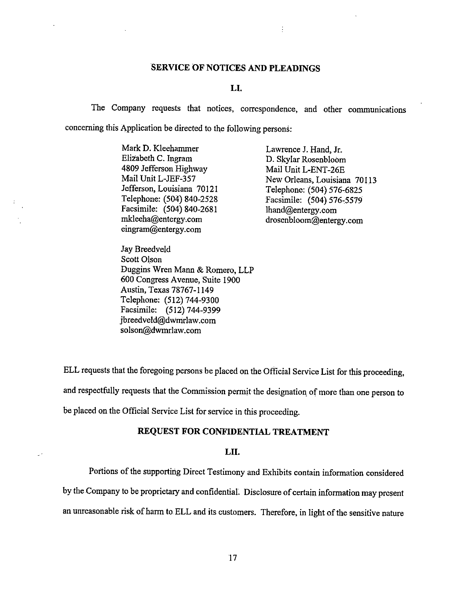### SERVICE OF NOTICES AND PLEADINGS

 $\vdots$ 

### L1.

The Company requests that notices, correspondence, and other communications concerning this Application be directed to the following persons:

> Mark D. Kleehammer<br>Elizabeth C. Ingram Lawrence J. Hand, Jr.<br>D. Skylar Rosenbloon 4809 Jefferson Highway Jefferson, Louisiana 70121 Telephone: (504) 576-6825<br>Telephone: (504) 840-2528 Facsimile: (504) 576-5579 Facsimile: (504) 840-2681 lhand@entergy.com<br>mkleeha@entergy.com drosenbloom@enterg eingram@entergy.com

D. Skylar Rosenbloom<br>Mail Unit L-ENT-26E Mail Unit L-JEF-357<br>Jefferson, Louisiana 70121 Telephone: (504) 576-6825 Facsimile: (504) 576-5579 drosenbloom@entergy.com

Jay Breedveld Scott Olson Duggins Wren Mann & Romero, LLP 600 Congress Avenue, Suite 1900 Austin, Texas 78767-1149 Telephone: (512) 744-9300 Facsimile: (512) 744-9399 jbreedveld@dwmrlaw.com solson@dwmrlaw.com

ELL requests that the foregoing persons be placed on the Official Service List for this proceeding, and respectfully requests that the Commission permit the designation of more than one person to be placed on the Official Service List for service in this proceeding.

### REQUEST FOR CONFIDENTIAL TREATMENT

### LII.

Portions of the supporting Direct Testimony and Exhibits contain information considered

by the Company to be proprietary and confidential. Disclosure of certain information may present an unreasonable risk of harm to ELL and its customers. Therefore, in light of the sensitive nature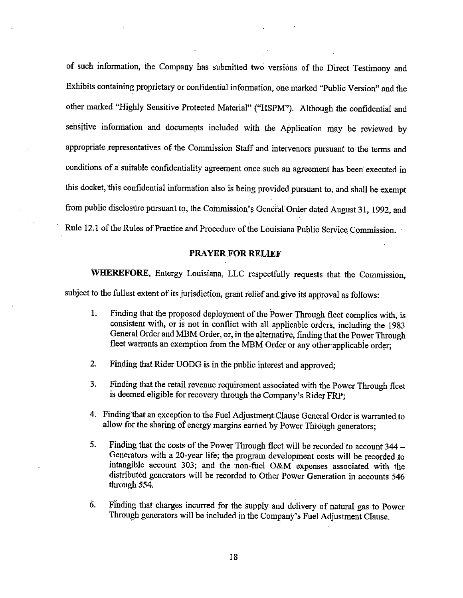of such information, the Company has submitted two versions of the Direct Testimony and Exhibits containing proprietary or confidential information, one marked "Public Version" and the other marked "Highly Sensitive Protected Material" ("HSPM"). Although the confidential and sensitive information and documents included with the Application may be reviewed by appropriate representatives of the Commission Staff and intervenors pursuant to the terms and conditions of a suitable confidentiality agreement once such an agreement has been executed in this docket, this confidential information also is being provided pursuant to, and shall be exempt from public disclosure pursuant to, the Commission's General Order dated August 31, 1992, and Rule 12.1 of the Rules of Practice and Procedure of the Louisiana Public Service Commission.

### PRAYER FOR RELIEF

WHEREFORE, Entergy Louisiana, LLC respectfully requests that the Commission,

subject to the fullest extent of its jurisdiction, grant relief and give its approval as follows:

µ

- 1. Finding that the proposed deployment of the Power Through fleet complies with, is consistent with, or is not in conflict with all applicable orders, including the 1983 General Order and MBM Order, or, in the alternative, finding that the Power Through fleet warrants an exemption from the MBM Order or any other-applicable order;
- 2. Finding that Rider UODG is in the public interest and approved;
- 3. Finding that the retail revenue requirement associated with the Power Through fleet is deemed eligible for recovery through the Company's Rider FRP;
- 4. Finding that an exception to the Fuel Adjustment Clause General Order is warranted to allow for the sharing of energy margins earned by Power Through generators;
- 5. Finding that the costs of the Power Through fleet will be recorded to account  $344 -$ Generators with <sup>a</sup> 20-year life; the program development costs will be recorded to intangible account 303; and the non-fuel O&M expenses associated with the distributed generators will be recorded to Other Power Generation in accounts 546 through 554.
- 6. Finding that charges incurred for the supply and delivery of natural gas to Power Through generators will be included in the Company's Fuel Adjustment Clause.